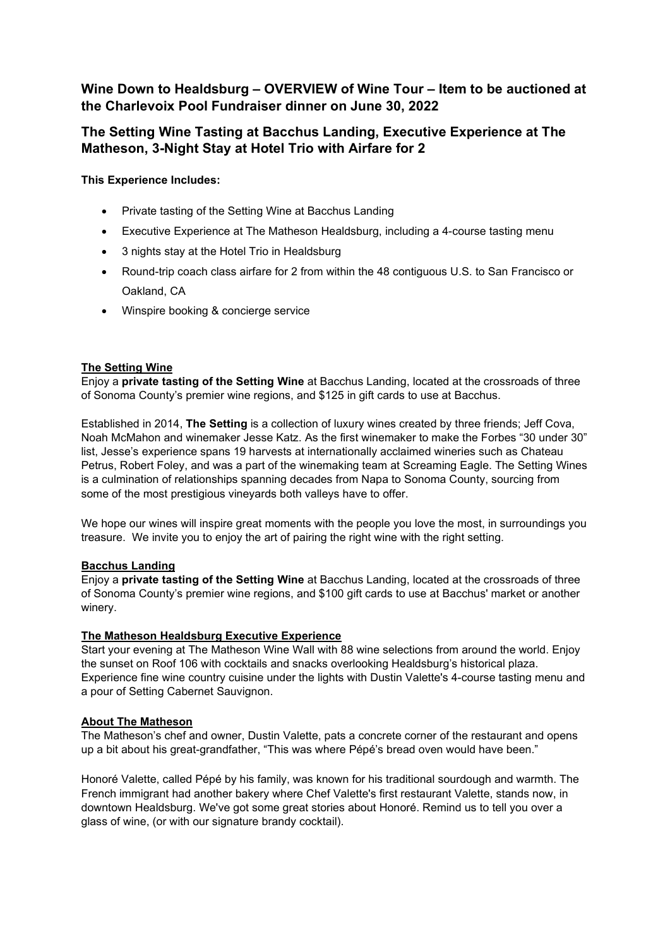## **Wine Down to Healdsburg – OVERVIEW of Wine Tour – Item to be auctioned at the Charlevoix Pool Fundraiser dinner on June 30, 2022**

# **The Setting Wine Tasting at Bacchus Landing, Executive Experience at The Matheson, 3-Night Stay at Hotel Trio with Airfare for 2**

### **This Experience Includes:**

- Private tasting of the Setting Wine at Bacchus Landing
- Executive Experience at The Matheson Healdsburg, including a 4-course tasting menu
- 3 nights stay at the Hotel Trio in Healdsburg
- Round-trip coach class airfare for 2 from within the 48 contiguous U.S. to San Francisco or Oakland, CA
- Winspire booking & concierge service

#### **The Setting Wine**

Enjoy a **private tasting of the Setting Wine** at Bacchus Landing, located at the crossroads of three of Sonoma County's premier wine regions, and \$125 in gift cards to use at Bacchus.

Established in 2014, **The Setting** is a collection of luxury wines created by three friends; Jeff Cova, Noah McMahon and winemaker Jesse Katz. As the first winemaker to make the Forbes "30 under 30" list, Jesse's experience spans 19 harvests at internationally acclaimed wineries such as Chateau Petrus, Robert Foley, and was a part of the winemaking team at Screaming Eagle. The Setting Wines is a culmination of relationships spanning decades from Napa to Sonoma County, sourcing from some of the most prestigious vineyards both valleys have to offer.

We hope our wines will inspire great moments with the people you love the most, in surroundings you treasure. We invite you to enjoy the art of pairing the right wine with the right setting.

#### **Bacchus Landing**

Enjoy a **private tasting of the Setting Wine** at Bacchus Landing, located at the crossroads of three of Sonoma County's premier wine regions, and \$100 gift cards to use at Bacchus' market or another winery.

#### **The Matheson Healdsburg Executive Experience**

Start your evening at The Matheson Wine Wall with 88 wine selections from around the world. Enjoy the sunset on Roof 106 with cocktails and snacks overlooking Healdsburg's historical plaza. Experience fine wine country cuisine under the lights with Dustin Valette's 4-course tasting menu and a pour of Setting Cabernet Sauvignon.

#### **About The Matheson**

The Matheson's chef and owner, Dustin Valette, pats a concrete corner of the restaurant and opens up a bit about his great-grandfather, "This was where Pépé's bread oven would have been."

Honoré Valette, called Pépé by his family, was known for his traditional sourdough and warmth. The French immigrant had another bakery where Chef Valette's first restaurant Valette, stands now, in downtown Healdsburg. We've got some great stories about Honoré. Remind us to tell you over a glass of wine, (or with our signature brandy cocktail).